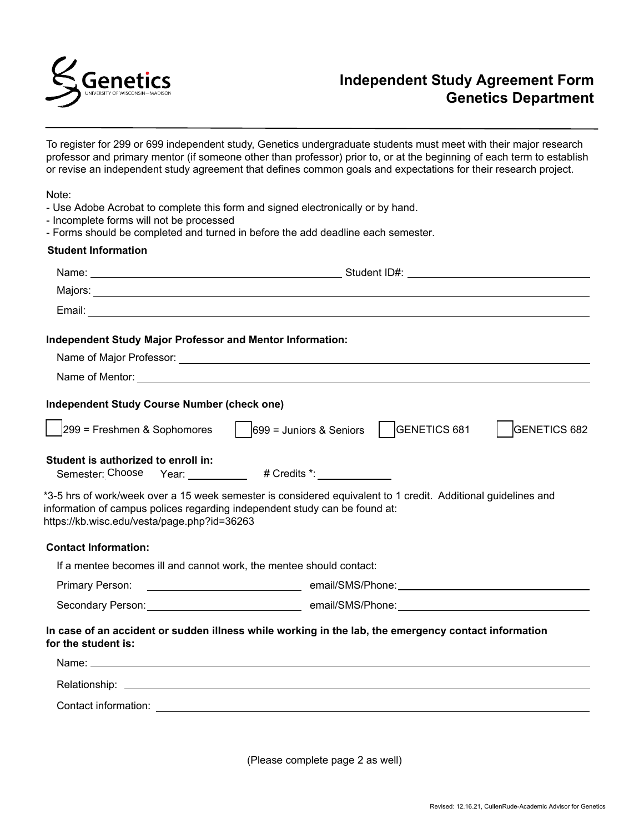

To register for 299 or 699 independent study, Genetics undergraduate students must meet with their major research professor and primary mentor (if someone other than professor) prior to, or at the beginning of each term to establish or revise an independent study agreement that defines common goals and expectations for their research project.

Note:

- Use Adobe Acrobat to complete this form and signed electronically or by hand.
- Incomplete forms will not be processed
- Forms should be completed and turned in before the add deadline each semester.

## **Student Information**

| <b>Independent Study Major Professor and Mentor Information:</b>                                                          |                                                                                                               |
|---------------------------------------------------------------------------------------------------------------------------|---------------------------------------------------------------------------------------------------------------|
|                                                                                                                           |                                                                                                               |
|                                                                                                                           |                                                                                                               |
| <b>Independent Study Course Number (check one)</b>                                                                        |                                                                                                               |
|                                                                                                                           | $ 299 $ = Freshmen & Sophomores $ $ $ 699 $ = Juniors & Seniors $ $ GENETICS 681<br><b>GENETICS 682</b>       |
| Student is authorized to enroll in:<br>Semester: Choose                                                                   | Year: ____________ # Credits *: _____________                                                                 |
| information of campus polices regarding independent study can be found at:<br>https://kb.wisc.edu/vesta/page.php?id=36263 | *3-5 hrs of work/week over a 15 week semester is considered equivalent to 1 credit. Additional guidelines and |
| <b>Contact Information:</b>                                                                                               |                                                                                                               |
| If a mentee becomes ill and cannot work, the mentee should contact:                                                       |                                                                                                               |
| Primary Person:                                                                                                           |                                                                                                               |
|                                                                                                                           |                                                                                                               |
| for the student is:                                                                                                       | In case of an accident or sudden illness while working in the lab, the emergency contact information          |
|                                                                                                                           |                                                                                                               |
|                                                                                                                           |                                                                                                               |
|                                                                                                                           |                                                                                                               |
|                                                                                                                           |                                                                                                               |

(Please complete page 2 as well)